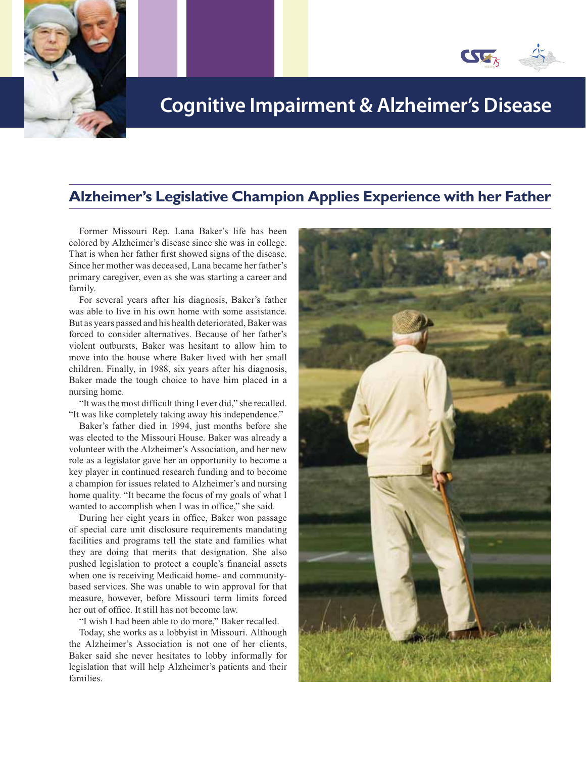

## **Cognitive Impairment & Alzheimer's Disease**

### **Alzheimer's Legislative Champion Applies Experience with her Father**

Former Missouri Rep. Lana Baker's life has been colored by Alzheimer's disease since she was in college. That is when her father first showed signs of the disease. Since her mother was deceased, Lana became her father's primary caregiver, even as she was starting a career and family.

For several years after his diagnosis, Baker's father was able to live in his own home with some assistance. But as years passed and his health deteriorated, Baker was forced to consider alternatives. Because of her father's violent outbursts, Baker was hesitant to allow him to move into the house where Baker lived with her small children. Finally, in 1988, six years after his diagnosis, Baker made the tough choice to have him placed in a nursing home.

"It was the most difficult thing I ever did," she recalled. "It was like completely taking away his independence."

Baker's father died in 1994, just months before she was elected to the Missouri House. Baker was already a volunteer with the Alzheimer's Association, and her new role as a legislator gave her an opportunity to become a key player in continued research funding and to become a champion for issues related to Alzheimer's and nursing home quality. "It became the focus of my goals of what I wanted to accomplish when I was in office," she said.

During her eight years in office, Baker won passage of special care unit disclosure requirements mandating facilities and programs tell the state and families what they are doing that merits that designation. She also pushed legislation to protect a couple's financial assets when one is receiving Medicaid home- and communitybased services. She was unable to win approval for that measure, however, before Missouri term limits forced her out of office. It still has not become law.

"I wish I had been able to do more," Baker recalled.

Today, she works as a lobbyist in Missouri. Although the Alzheimer's Association is not one of her clients, Baker said she never hesitates to lobby informally for legislation that will help Alzheimer's patients and their families.

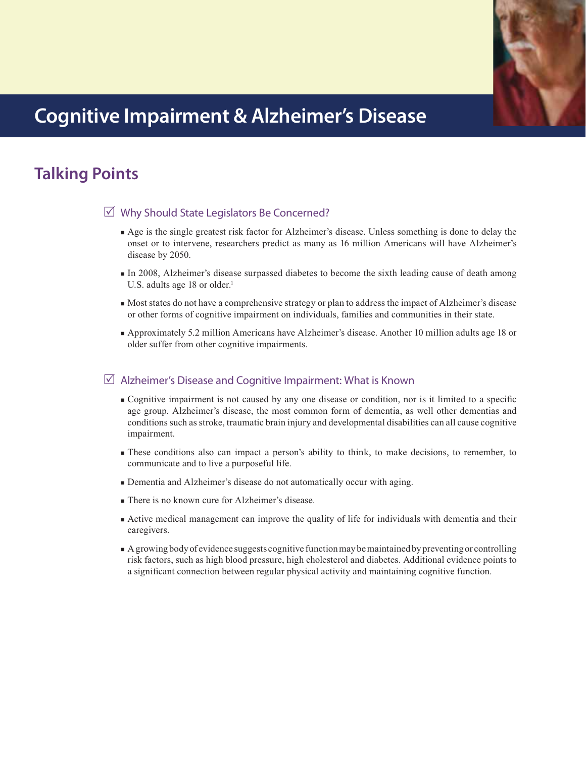

## **Cognitive Impairment & Alzheimer's Disease**

# **Talking Points**

### $\boxtimes$  Why Should State Legislators Be Concerned?

- Age is the single greatest risk factor for Alzheimer's disease. Unless something is done to delay the onset or to intervene, researchers predict as many as 16 million Americans will have Alzheimer's disease by 2050.
- In 2008, Alzheimer's disease surpassed diabetes to become the sixth leading cause of death among U.S. adults age 18 or older. $<sup>1</sup>$ </sup>
- Most states do not have a comprehensive strategy or plan to address the impact of Alzheimer's disease or other forms of cognitive impairment on individuals, families and communities in their state.
- Approximately 5.2 million Americans have Alzheimer's disease. Another 10 million adults age 18 or older suffer from other cognitive impairments.

### $\triangledown$  Alzheimer's Disease and Cognitive Impairment: What is Known

- Cognitive impairment is not caused by any one disease or condition, nor is it limited to a specific age group. Alzheimer's disease, the most common form of dementia, as well other dementias and conditions such as stroke, traumatic brain injury and developmental disabilities can all cause cognitive impairment.
- These conditions also can impact a person's ability to think, to make decisions, to remember, to communicate and to live a purposeful life.
- Dementia and Alzheimer's disease do not automatically occur with aging.
- There is no known cure for Alzheimer's disease.
- Active medical management can improve the quality of life for individuals with dementia and their caregivers.
- A growing body of evidence suggests cognitive function may be maintained by preventing or controlling risk factors, such as high blood pressure, high cholesterol and diabetes. Additional evidence points to a significant connection between regular physical activity and maintaining cognitive function.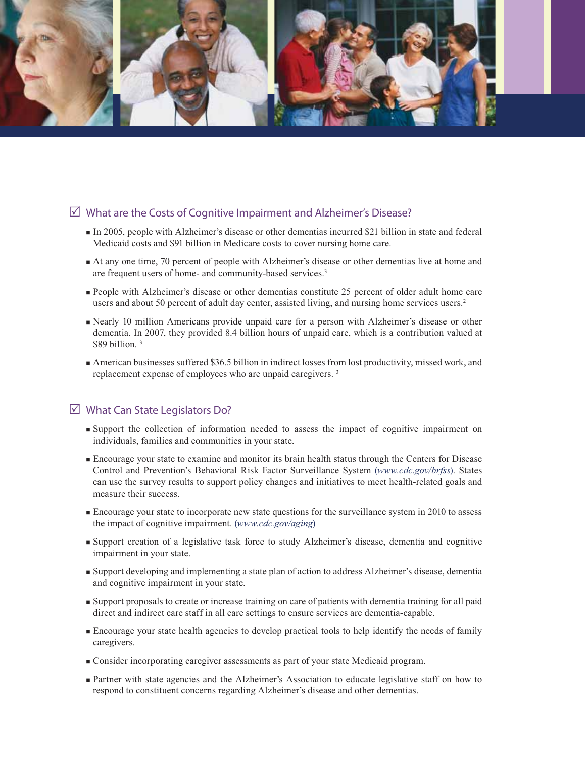

### $\triangledown$  What are the Costs of Cognitive Impairment and Alzheimer's Disease?

- In 2005, people with Alzheimer's disease or other dementias incurred \$21 billion in state and federal Medicaid costs and \$91 billion in Medicare costs to cover nursing home care.
- At any one time, 70 percent of people with Alzheimer's disease or other dementias live at home and are frequent users of home- and community-based services.<sup>3</sup>
- People with Alzheimer's disease or other dementias constitute 25 percent of older adult home care users and about 50 percent of adult day center, assisted living, and nursing home services users.<sup>2</sup>
- Nearly 10 million Americans provide unpaid care for a person with Alzheimer's disease or other dementia. In 2007, they provided 8.4 billion hours of unpaid care, which is a contribution valued at \$89 billion.<sup>3</sup>
- American businesses suffered \$36.5 billion in indirect losses from lost productivity, missed work, and replacement expense of employees who are unpaid caregivers. 3

### $\boxtimes$  What Can State Legislators Do?

- Support the collection of information needed to assess the impact of cognitive impairment on individuals, families and communities in your state.
- Encourage your state to examine and monitor its brain health status through the Centers for Disease Control and Prevention's Behavioral Risk Factor Surveillance System (*www.cdc.gov/brfss*). States can use the survey results to support policy changes and initiatives to meet health-related goals and measure their success.
- Encourage your state to incorporate new state questions for the surveillance system in 2010 to assess the impact of cognitive impairment. (*www.cdc.gov/aging*)
- Support creation of a legislative task force to study Alzheimer's disease, dementia and cognitive impairment in your state.
- Support developing and implementing a state plan of action to address Alzheimer's disease, dementia and cognitive impairment in your state.
- Support proposals to create or increase training on care of patients with dementia training for all paid direct and indirect care staff in all care settings to ensure services are dementia-capable.
- Encourage your state health agencies to develop practical tools to help identify the needs of family caregivers.
- Consider incorporating caregiver assessments as part of your state Medicaid program.
- Partner with state agencies and the Alzheimer's Association to educate legislative staff on how to respond to constituent concerns regarding Alzheimer's disease and other dementias.